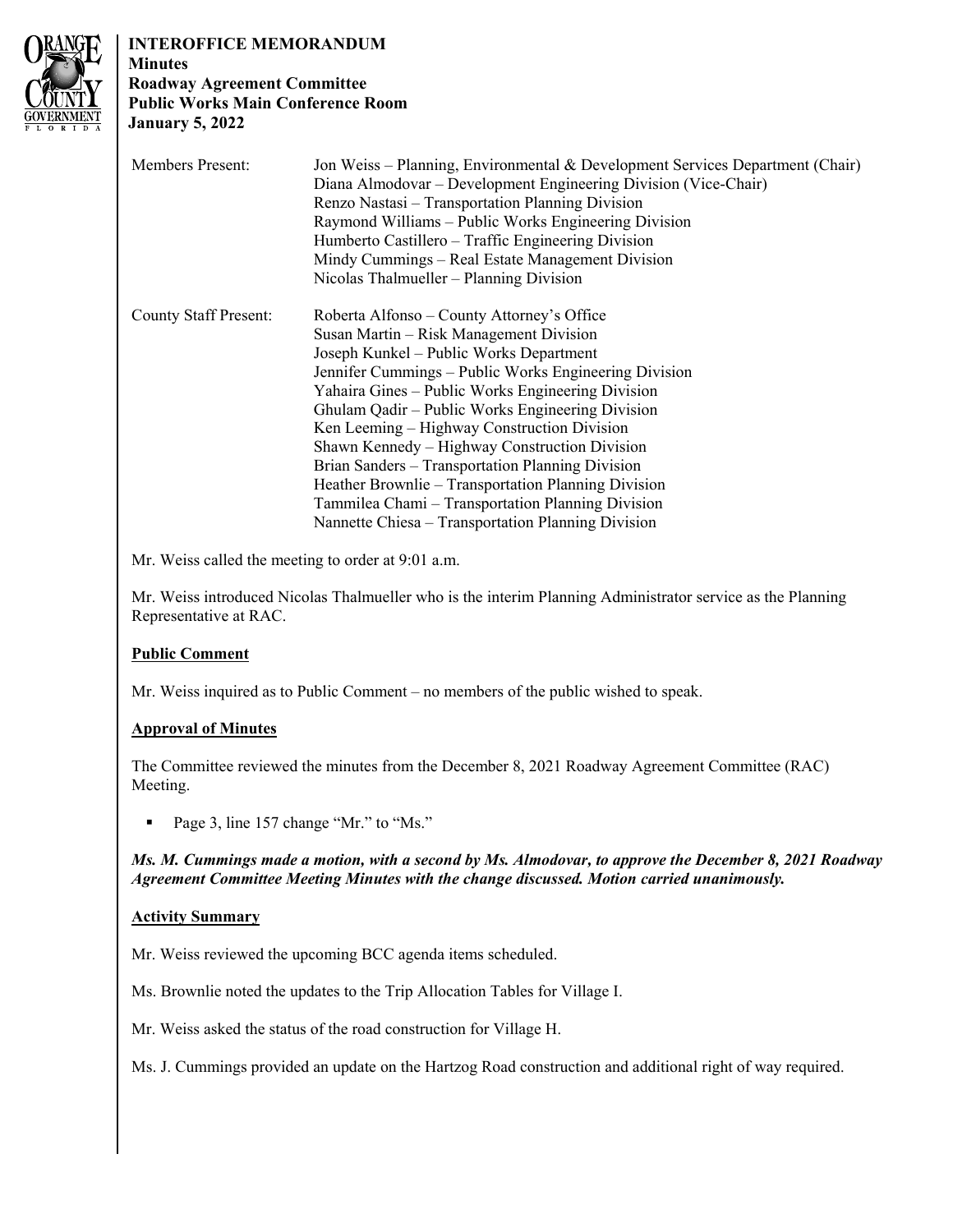

# **INTEROFFICE MEMORANDUM**

**Minutes Roadway Agreement Committee Public Works Main Conference Room January 5, 2022**

| <b>Members Present:</b>      | Jon Weiss - Planning, Environmental & Development Services Department (Chair)<br>Diana Almodovar – Development Engineering Division (Vice-Chair)<br>Renzo Nastasi – Transportation Planning Division<br>Raymond Williams – Public Works Engineering Division<br>Humberto Castillero – Traffic Engineering Division<br>Mindy Cummings – Real Estate Management Division<br>Nicolas Thalmueller – Planning Division                                                                                                                                                                                                        |
|------------------------------|--------------------------------------------------------------------------------------------------------------------------------------------------------------------------------------------------------------------------------------------------------------------------------------------------------------------------------------------------------------------------------------------------------------------------------------------------------------------------------------------------------------------------------------------------------------------------------------------------------------------------|
| <b>County Staff Present:</b> | Roberta Alfonso – County Attorney's Office<br>Susan Martin – Risk Management Division<br>Joseph Kunkel - Public Works Department<br>Jennifer Cummings – Public Works Engineering Division<br>Yahaira Gines – Public Works Engineering Division<br>Ghulam Qadir – Public Works Engineering Division<br>Ken Leeming – Highway Construction Division<br>Shawn Kennedy – Highway Construction Division<br>Brian Sanders – Transportation Planning Division<br>Heather Brownlie – Transportation Planning Division<br>Tammilea Chami - Transportation Planning Division<br>Nannette Chiesa – Transportation Planning Division |

Mr. Weiss called the meeting to order at 9:01 a.m.

Mr. Weiss introduced Nicolas Thalmueller who is the interim Planning Administrator service as the Planning Representative at RAC.

# **Public Comment**

Mr. Weiss inquired as to Public Comment – no members of the public wished to speak.

## **Approval of Minutes**

The Committee reviewed the minutes from the December 8, 2021 Roadway Agreement Committee (RAC) Meeting.

■ Page 3, line 157 change "Mr." to "Ms."

#### *Ms. M. Cummings made a motion, with a second by Ms. Almodovar, to approve the December 8, 2021 Roadway Agreement Committee Meeting Minutes with the change discussed. Motion carried unanimously.*

## **Activity Summary**

Mr. Weiss reviewed the upcoming BCC agenda items scheduled.

Ms. Brownlie noted the updates to the Trip Allocation Tables for Village I.

Mr. Weiss asked the status of the road construction for Village H.

Ms. J. Cummings provided an update on the Hartzog Road construction and additional right of way required.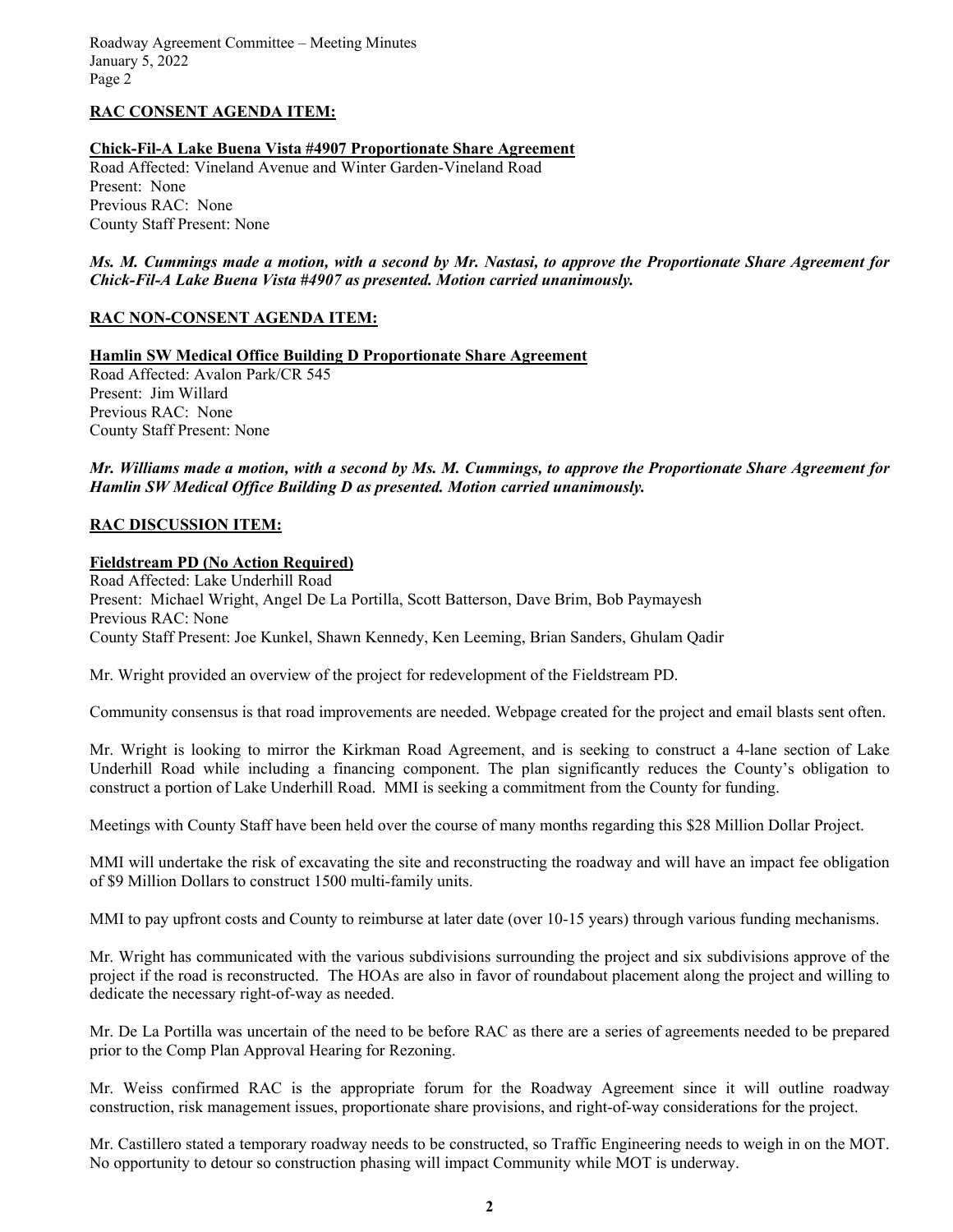Roadway Agreement Committee – Meeting Minutes January 5, 2022 Page 2

#### **RAC CONSENT AGENDA ITEM:**

#### **Chick-Fil-A Lake Buena Vista #4907 Proportionate Share Agreement**

Road Affected: Vineland Avenue and Winter Garden-Vineland Road Present: None Previous RAC: None County Staff Present: None

#### *Ms. M. Cummings made a motion, with a second by Mr. Nastasi, to approve the Proportionate Share Agreement for Chick-Fil-A Lake Buena Vista #4907 as presented. Motion carried unanimously.*

#### **RAC NON-CONSENT AGENDA ITEM:**

**Hamlin SW Medical Office Building D Proportionate Share Agreement** 

Road Affected: Avalon Park/CR 545 Present: Jim Willard Previous RAC: None County Staff Present: None

*Mr. Williams made a motion, with a second by Ms. M. Cummings, to approve the Proportionate Share Agreement for Hamlin SW Medical Office Building D as presented. Motion carried unanimously.*

#### **RAC DISCUSSION ITEM:**

#### **Fieldstream PD (No Action Required)**

Road Affected: Lake Underhill Road Present: Michael Wright, Angel De La Portilla, Scott Batterson, Dave Brim, Bob Paymayesh Previous RAC: None County Staff Present: Joe Kunkel, Shawn Kennedy, Ken Leeming, Brian Sanders, Ghulam Qadir

Mr. Wright provided an overview of the project for redevelopment of the Fieldstream PD.

Community consensus is that road improvements are needed. Webpage created for the project and email blasts sent often.

Mr. Wright is looking to mirror the Kirkman Road Agreement, and is seeking to construct a 4-lane section of Lake Underhill Road while including a financing component. The plan significantly reduces the County's obligation to construct a portion of Lake Underhill Road. MMI is seeking a commitment from the County for funding.

Meetings with County Staff have been held over the course of many months regarding this \$28 Million Dollar Project.

MMI will undertake the risk of excavating the site and reconstructing the roadway and will have an impact fee obligation of \$9 Million Dollars to construct 1500 multi-family units.

MMI to pay upfront costs and County to reimburse at later date (over 10-15 years) through various funding mechanisms.

Mr. Wright has communicated with the various subdivisions surrounding the project and six subdivisions approve of the project if the road is reconstructed. The HOAs are also in favor of roundabout placement along the project and willing to dedicate the necessary right-of-way as needed.

Mr. De La Portilla was uncertain of the need to be before RAC as there are a series of agreements needed to be prepared prior to the Comp Plan Approval Hearing for Rezoning.

Mr. Weiss confirmed RAC is the appropriate forum for the Roadway Agreement since it will outline roadway construction, risk management issues, proportionate share provisions, and right-of-way considerations for the project.

Mr. Castillero stated a temporary roadway needs to be constructed, so Traffic Engineering needs to weigh in on the MOT. No opportunity to detour so construction phasing will impact Community while MOT is underway.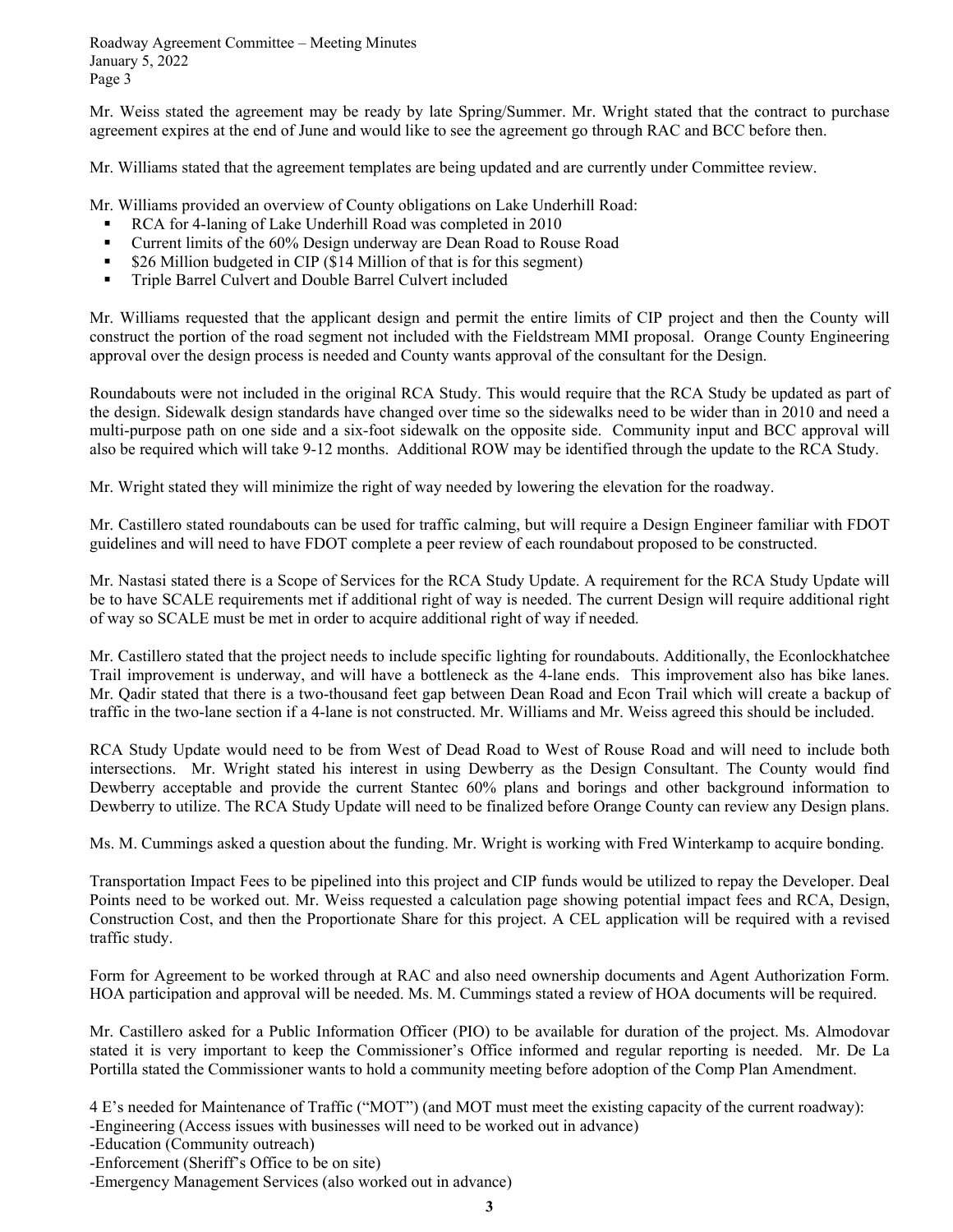Roadway Agreement Committee – Meeting Minutes January 5, 2022 Page 3

Mr. Weiss stated the agreement may be ready by late Spring/Summer. Mr. Wright stated that the contract to purchase agreement expires at the end of June and would like to see the agreement go through RAC and BCC before then.

Mr. Williams stated that the agreement templates are being updated and are currently under Committee review.

Mr. Williams provided an overview of County obligations on Lake Underhill Road:

- RCA for 4-laning of Lake Underhill Road was completed in 2010
- Current limits of the 60% Design underway are Dean Road to Rouse Road
- \$26 Million budgeted in CIP (\$14 Million of that is for this segment)
- Triple Barrel Culvert and Double Barrel Culvert included

Mr. Williams requested that the applicant design and permit the entire limits of CIP project and then the County will construct the portion of the road segment not included with the Fieldstream MMI proposal. Orange County Engineering approval over the design process is needed and County wants approval of the consultant for the Design.

Roundabouts were not included in the original RCA Study. This would require that the RCA Study be updated as part of the design. Sidewalk design standards have changed over time so the sidewalks need to be wider than in 2010 and need a multi-purpose path on one side and a six-foot sidewalk on the opposite side. Community input and BCC approval will also be required which will take 9-12 months. Additional ROW may be identified through the update to the RCA Study.

Mr. Wright stated they will minimize the right of way needed by lowering the elevation for the roadway.

Mr. Castillero stated roundabouts can be used for traffic calming, but will require a Design Engineer familiar with FDOT guidelines and will need to have FDOT complete a peer review of each roundabout proposed to be constructed.

Mr. Nastasi stated there is a Scope of Services for the RCA Study Update. A requirement for the RCA Study Update will be to have SCALE requirements met if additional right of way is needed. The current Design will require additional right of way so SCALE must be met in order to acquire additional right of way if needed.

Mr. Castillero stated that the project needs to include specific lighting for roundabouts. Additionally, the Econlockhatchee Trail improvement is underway, and will have a bottleneck as the 4-lane ends. This improvement also has bike lanes. Mr. Qadir stated that there is a two-thousand feet gap between Dean Road and Econ Trail which will create a backup of traffic in the two-lane section if a 4-lane is not constructed. Mr. Williams and Mr. Weiss agreed this should be included.

RCA Study Update would need to be from West of Dead Road to West of Rouse Road and will need to include both intersections. Mr. Wright stated his interest in using Dewberry as the Design Consultant. The County would find Dewberry acceptable and provide the current Stantec 60% plans and borings and other background information to Dewberry to utilize. The RCA Study Update will need to be finalized before Orange County can review any Design plans.

Ms. M. Cummings asked a question about the funding. Mr. Wright is working with Fred Winterkamp to acquire bonding.

Transportation Impact Fees to be pipelined into this project and CIP funds would be utilized to repay the Developer. Deal Points need to be worked out. Mr. Weiss requested a calculation page showing potential impact fees and RCA, Design, Construction Cost, and then the Proportionate Share for this project. A CEL application will be required with a revised traffic study.

Form for Agreement to be worked through at RAC and also need ownership documents and Agent Authorization Form. HOA participation and approval will be needed. Ms. M. Cummings stated a review of HOA documents will be required.

Mr. Castillero asked for a Public Information Officer (PIO) to be available for duration of the project. Ms. Almodovar stated it is very important to keep the Commissioner's Office informed and regular reporting is needed. Mr. De La Portilla stated the Commissioner wants to hold a community meeting before adoption of the Comp Plan Amendment.

4 E's needed for Maintenance of Traffic ("MOT") (and MOT must meet the existing capacity of the current roadway): -Engineering (Access issues with businesses will need to be worked out in advance)

-Education (Community outreach)

-Enforcement (Sheriff's Office to be on site)

-Emergency Management Services (also worked out in advance)